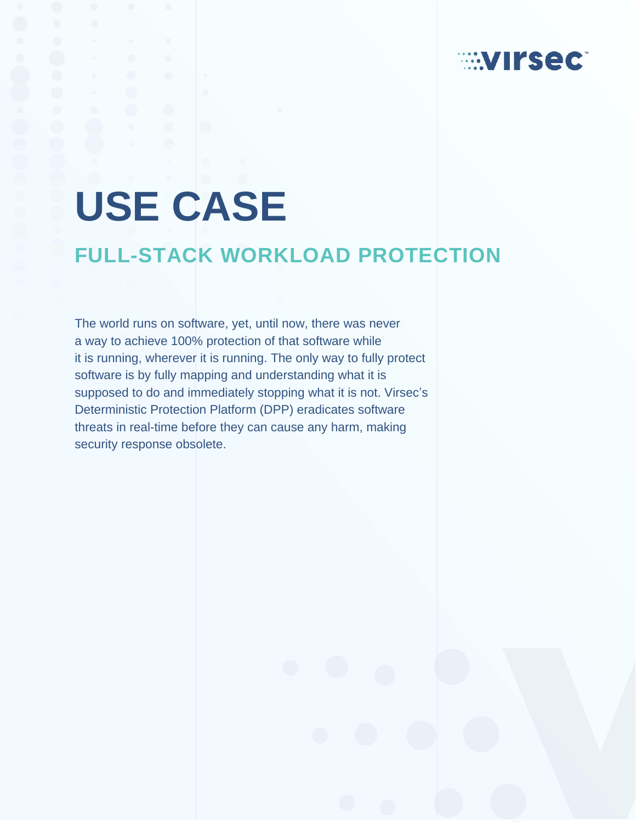# **EXTIFSECT**

# **USE CASE**

# **FULL-STACK WORKLOAD PROTECTION**

The world runs on software, yet, until now, there was never a way to achieve 100% protection of that software while it is running, wherever it is running. The only way to fully protect software is by fully mapping and understanding what it is supposed to do and immediately stopping what it is not. Virsec's Deterministic Protection Platform (DPP) eradicates software threats in real-time before they can cause any harm, making security response obsolete.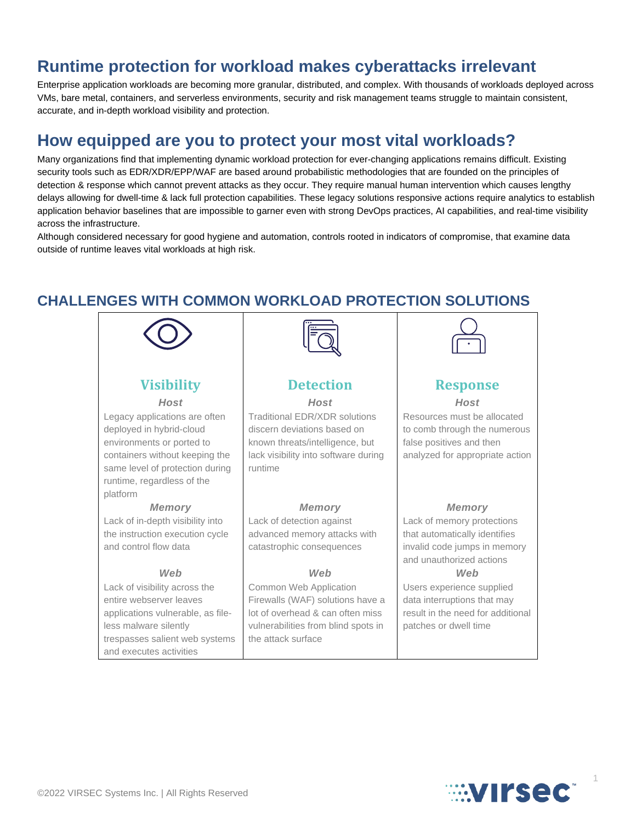## **Runtime protection for workload makes cyberattacks irrelevant**

Enterprise application workloads are becoming more granular, distributed, and complex. With thousands of workloads deployed across VMs, bare metal, containers, and serverless environments, security and risk management teams struggle to maintain consistent, accurate, and in-depth workload visibility and protection.

## **How equipped are you to protect your most vital workloads?**

Many organizations find that implementing dynamic workload protection for ever-changing applications remains difficult. Existing security tools such as EDR/XDR/EPP/WAF are based around probabilistic methodologies that are founded on the principles of detection & response which cannot prevent attacks as they occur. They require manual human intervention which causes lengthy delays allowing for dwell-time & lack full protection capabilities. These legacy solutions responsive actions require analytics to establish application behavior baselines that are impossible to garner even with strong DevOps practices, AI capabilities, and real-time visibility across the infrastructure.

Although considered necessary for good hygiene and automation, controls rooted in indicators of compromise, that examine data outside of runtime leaves vital workloads at high risk.

#### **CHALLENGES WITH COMMON WORKLOAD PROTECTION SOLUTIONS**





1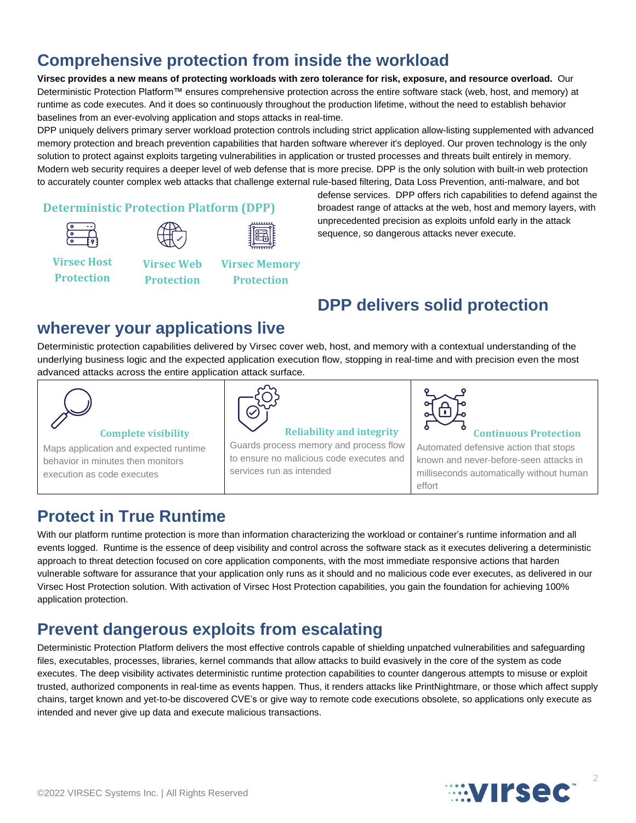# **Comprehensive protection from inside the workload**

Virsec provides a new means of protecting workloads with zero tolerance for risk, exposure, and resource overload. Our Deterministic Protection Platform™ ensures comprehensive protection across the entire software stack (web, host, and memory) at runtime as code executes. And it does so continuously throughout the production lifetime, without the need to establish behavior baselines from an ever-evolving application and stops attacks in real-time.

DPP uniquely delivers primary server workload protection controls including strict application allow-listing supplemented with advanced memory protection and breach prevention capabilities that harden software wherever it's deployed. Our proven technology is the only solution to protect against exploits targeting vulnerabilities in application or trusted processes and threats built entirely in memory. Modern web security requires a deeper level of web defense that is more precise. DPP is the only solution with built-in web protection to accurately counter complex web attacks that challenge external rule-based filtering, Data Loss Prevention, anti-malware, and bot

#### **Deterministic Protection Platform (DPP)**





**Virsec Memory Protection**

**Virsec Host Protection**

**Virsec Web Protection**

defense services. DPP offers rich capabilities to defend against the broadest range of attacks at the web, host and memory layers, with unprecedented precision as exploits unfold early in the attack sequence, so dangerous attacks never execute.

# **DPP delivers solid protection**

## **wherever your applications live**

Deterministic protection capabilities delivered by Virsec cover web, host, and memory with a contextual understanding of the underlying business logic and the expected application execution flow, stopping in real-time and with precision even the most advanced attacks across the entire application attack surface.



#### **Complete visibility**

Maps application and expected runtime behavior in minutes then monitors execution as code executes



# **Reliability and integrity**

Guards process memory and process flow to ensure no malicious code executes and services run as intended



#### **Continuous Protection**

Automated defensive action that stops known and never-before-seen attacks in milliseconds automatically without human effort

# **Protect in True Runtime**

With our platform runtime protection is more than information characterizing the workload or container's runtime information and all events logged. Runtime is the essence of deep visibility and control across the software stack as it executes delivering a deterministic approach to threat detection focused on core application components, with the most immediate responsive actions that harden vulnerable software for assurance that your application only runs as it should and no malicious code ever executes, as delivered in our Virsec Host Protection solution. With activation of Virsec Host Protection capabilities, you gain the foundation for achieving 100% application protection.

# **Prevent dangerous exploits from escalating**

Deterministic Protection Platform delivers the most effective controls capable of shielding unpatched vulnerabilities and safeguarding files, executables, processes, libraries, kernel commands that allow attacks to build evasively in the core of the system as code executes. The deep visibility activates deterministic runtime protection capabilities to counter dangerous attempts to misuse or exploit trusted, authorized components in real-time as events happen. Thus, it renders attacks like PrintNightmare, or those which affect supply chains, target known and yet-to-be discovered CVE's or give way to remote code executions obsolete, so applications only execute as intended and never give up data and execute malicious transactions.